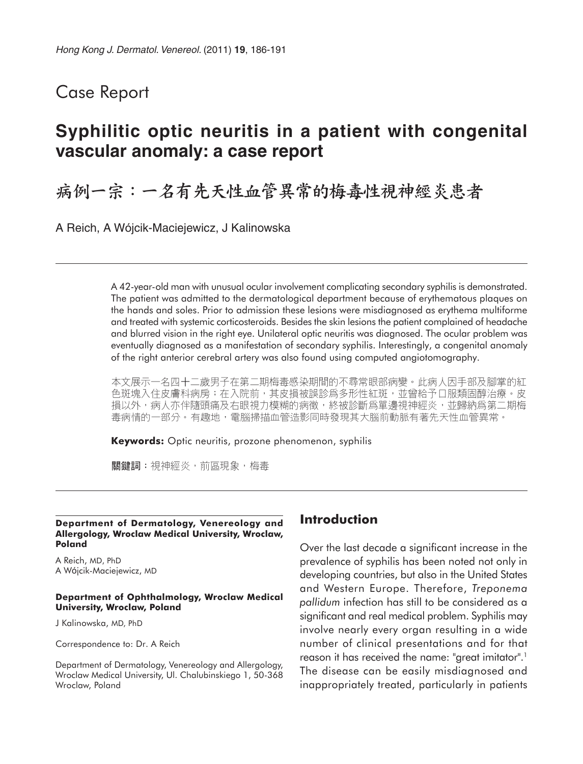## Case Report

## **Syphilitic optic neuritis in a patient with congenital vascular anomaly: a case report**

# 病例一宗:一名有先天性血管異常的梅毒性視神經炎患者

A Reich, A Wójcik-Maciejewicz, J Kalinowska

A 42-year-old man with unusual ocular involvement complicating secondary syphilis is demonstrated. The patient was admitted to the dermatological department because of erythematous plaques on the hands and soles. Prior to admission these lesions were misdiagnosed as erythema multiforme and treated with systemic corticosteroids. Besides the skin lesions the patient complained of headache and blurred vision in the right eye. Unilateral optic neuritis was diagnosed. The ocular problem was eventually diagnosed as a manifestation of secondary syphilis. Interestingly, a congenital anomaly of the right anterior cerebral artery was also found using computed angiotomography.

本文展示一名四十二歲男子在第二期梅毒感染期間的不尋常眼部病變。此病人因手部及腳掌的紅 色斑塊入住皮膚科病房;在入院前,其皮損被誤診爲多形性紅斑,並曾給予口服類固醇治療。皮 損以外,病人亦伴隨頭痛及右眼視力模糊的病徵,終被診斷爲單邊視神經炎,並歸納爲第二期梅 毒病情的一部分。有趣地,電腦掃描血管造影同時發現其大腦前動脈有著先天性血管異常。

**Keywords:** Optic neuritis, prozone phenomenon, syphilis

關鍵詞:視神經炎,前區現象,梅毒

#### **Department of Dermatology, Venereology and Allergology, Wroclaw Medical University, Wroclaw, Poland**

A Reich, MD, PhD A Wójcik-Maciejewicz, MD

#### **Department of Ophthalmology, Wroclaw Medical University, Wroclaw, Poland**

J Kalinowska, MD, PhD

Correspondence to: Dr. A Reich

Department of Dermatology, Venereology and Allergology, Wroclaw Medical University, Ul. Chalubinskiego 1, 50-368 Wroclaw, Poland

## **Introduction**

Over the last decade a significant increase in the prevalence of syphilis has been noted not only in developing countries, but also in the United States and Western Europe. Therefore, *Treponema pallidum* infection has still to be considered as a significant and real medical problem. Syphilis may involve nearly every organ resulting in a wide number of clinical presentations and for that reason it has received the name: "great imitator".<sup>1</sup> The disease can be easily misdiagnosed and inappropriately treated, particularly in patients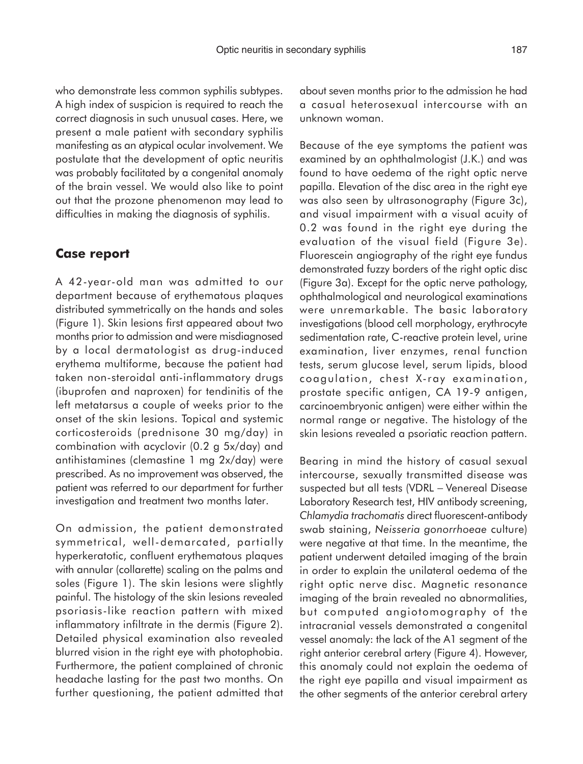who demonstrate less common syphilis subtypes. A high index of suspicion is required to reach the correct diagnosis in such unusual cases. Here, we present a male patient with secondary syphilis manifesting as an atypical ocular involvement. We postulate that the development of optic neuritis was probably facilitated by a congenital anomaly of the brain vessel. We would also like to point out that the prozone phenomenon may lead to difficulties in making the diagnosis of syphilis.

#### **Case report**

A 42-year-old man was admitted to our department because of erythematous plaques distributed symmetrically on the hands and soles (Figure 1). Skin lesions first appeared about two months prior to admission and were misdiagnosed by a local dermatologist as drug-induced erythema multiforme, because the patient had taken non-steroidal anti-inflammatory drugs (ibuprofen and naproxen) for tendinitis of the left metatarsus a couple of weeks prior to the onset of the skin lesions. Topical and systemic corticosteroids (prednisone 30 mg/day) in combination with acyclovir (0.2 g 5x/day) and antihistamines (clemastine 1 mg 2x/day) were prescribed. As no improvement was observed, the patient was referred to our department for further investigation and treatment two months later.

On admission, the patient demonstrated symmetrical, well-demarcated, partially hyperkeratotic, confluent erythematous plaques with annular (collarette) scaling on the palms and soles (Figure 1). The skin lesions were slightly painful. The histology of the skin lesions revealed psoriasis-like reaction pattern with mixed inflammatory infiltrate in the dermis (Figure 2). Detailed physical examination also revealed blurred vision in the right eye with photophobia. Furthermore, the patient complained of chronic headache lasting for the past two months. On further questioning, the patient admitted that about seven months prior to the admission he had a casual heterosexual intercourse with an unknown woman.

Because of the eye symptoms the patient was examined by an ophthalmologist (J.K.) and was found to have oedema of the right optic nerve papilla. Elevation of the disc area in the right eye was also seen by ultrasonography (Figure 3c), and visual impairment with a visual acuity of 0.2 was found in the right eye during the evaluation of the visual field (Figure 3e). Fluorescein angiography of the right eye fundus demonstrated fuzzy borders of the right optic disc (Figure 3a). Except for the optic nerve pathology, ophthalmological and neurological examinations were unremarkable. The basic laboratory investigations (blood cell morphology, erythrocyte sedimentation rate, C-reactive protein level, urine examination, liver enzymes, renal function tests, serum glucose level, serum lipids, blood coagulation, chest X-ray examination, prostate specific antigen, CA 19-9 antigen, carcinoembryonic antigen) were either within the normal range or negative. The histology of the skin lesions revealed a psoriatic reaction pattern.

Bearing in mind the history of casual sexual intercourse, sexually transmitted disease was suspected but all tests (VDRL - Venereal Disease Laboratory Research test, HIV antibody screening, *Chlamydia trachomatis* direct fluorescent-antibody swab staining, *Neisseria gonorrhoeae* culture) were negative at that time. In the meantime, the patient underwent detailed imaging of the brain in order to explain the unilateral oedema of the right optic nerve disc. Magnetic resonance imaging of the brain revealed no abnormalities, but computed angiotomography of the intracranial vessels demonstrated a congenital vessel anomaly: the lack of the A1 segment of the right anterior cerebral artery (Figure 4). However, this anomaly could not explain the oedema of the right eye papilla and visual impairment as the other segments of the anterior cerebral artery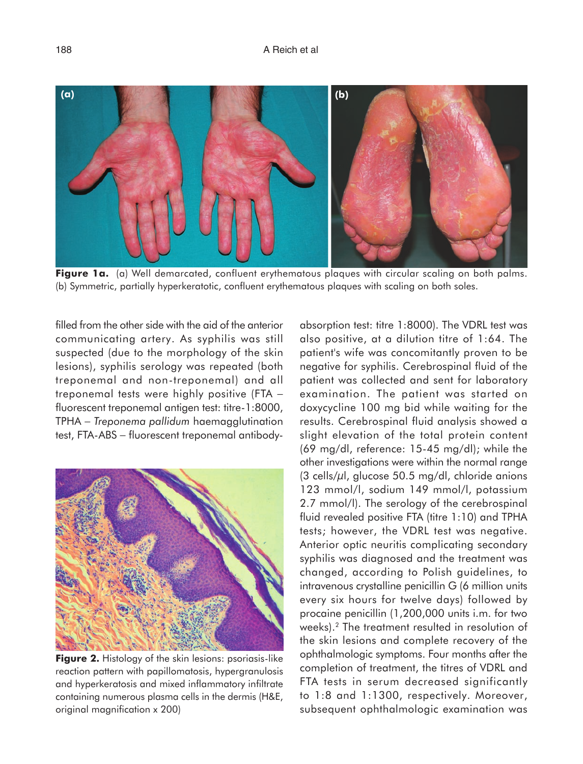

**Figure 1a.** (a) Well demarcated, confluent erythematous plaques with circular scaling on both palms. (b) Symmetric, partially hyperkeratotic, confluent erythematous plaques with scaling on both soles.

filled from the other side with the aid of the anterior communicating artery. As syphilis was still suspected (due to the morphology of the skin lesions), syphilis serology was repeated (both treponemal and non-treponemal) and all treponemal tests were highly positive (FTA − fluorescent treponemal antigen test: titre-1:8000, TPHA − *Treponema pallidum* haemagglutination test, FTA-ABS – fluorescent treponemal antibody-



**Figure 2.** Histology of the skin lesions: psoriasis-like reaction pattern with papillomatosis, hypergranulosis and hyperkeratosis and mixed inflammatory infiltrate containing numerous plasma cells in the dermis (H&E, original magnification x 200)

absorption test: titre 1:8000). The VDRL test was also positive, at a dilution titre of 1:64. The patient's wife was concomitantly proven to be negative for syphilis. Cerebrospinal fluid of the patient was collected and sent for laboratory examination. The patient was started on doxycycline 100 mg bid while waiting for the results. Cerebrospinal fluid analysis showed a slight elevation of the total protein content (69 mg/dl, reference: 15-45 mg/dl); while the other investigations were within the normal range  $(3$  cells/ $\mu$ l, glucose 50.5 mg/dl, chloride anions 123 mmol/l, sodium 149 mmol/l, potassium 2.7 mmol/l). The serology of the cerebrospinal fluid revealed positive FTA (titre 1:10) and TPHA tests; however, the VDRL test was negative. Anterior optic neuritis complicating secondary syphilis was diagnosed and the treatment was changed, according to Polish guidelines, to intravenous crystalline penicillin G (6 million units every six hours for twelve days) followed by procaine penicillin (1,200,000 units i.m. for two weeks).2 The treatment resulted in resolution of the skin lesions and complete recovery of the ophthalmologic symptoms. Four months after the completion of treatment, the titres of VDRL and FTA tests in serum decreased significantly to 1:8 and 1:1300, respectively. Moreover, subsequent ophthalmologic examination was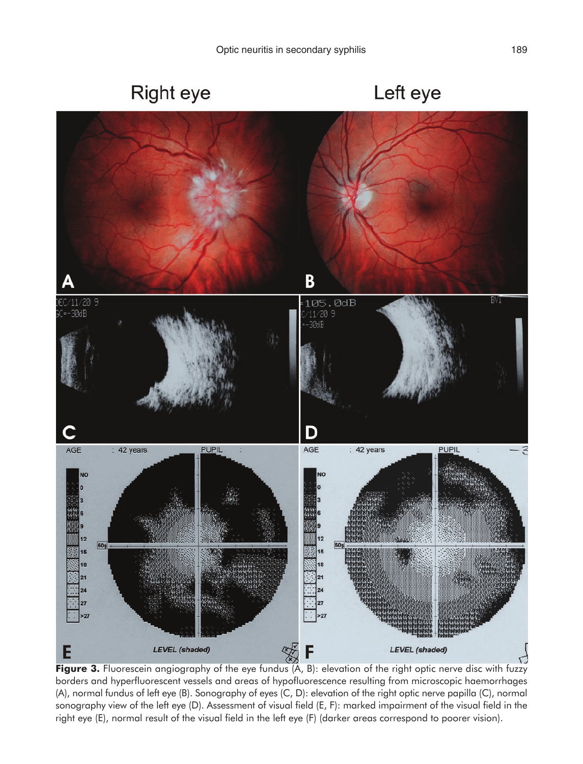# Right eye

Left eye



Figure 3. Fluorescein angiography of the eye fundus (A, B): elevation of the right optic nerve disc with fuzzy borders and hyperfluorescent vessels and areas of hypofluorescence resulting from microscopic haemorrhages (A), normal fundus of left eye (B). Sonography of eyes (C, D): elevation of the right optic nerve papilla (C), normal sonography view of the left eye (D). Assessment of visual field (E, F): marked impairment of the visual field in the right eye (E), normal result of the visual field in the left eye (F) (darker areas correspond to poorer vision).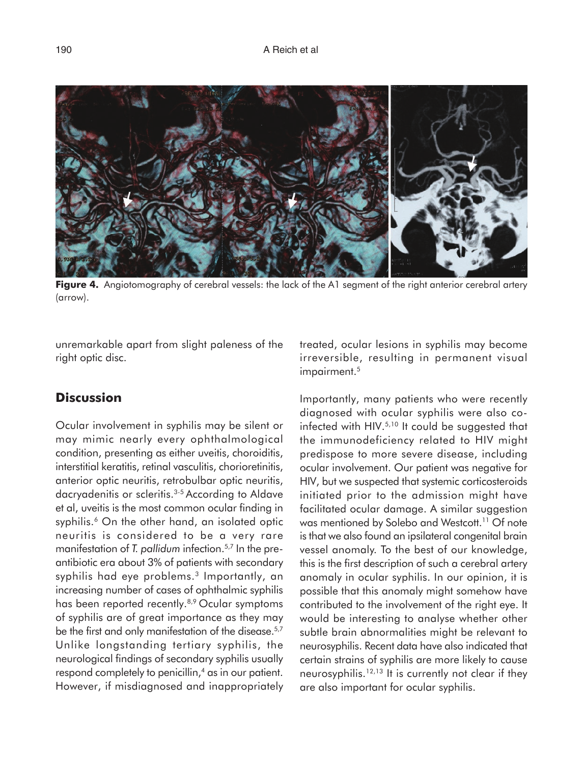

**Figure 4.** Angiotomography of cerebral vessels: the lack of the A1 segment of the right anterior cerebral artery (arrow).

unremarkable apart from slight paleness of the right optic disc.

## **Discussion**

Ocular involvement in syphilis may be silent or may mimic nearly every ophthalmological condition, presenting as either uveitis, choroiditis, interstitial keratitis, retinal vasculitis, chorioretinitis, anterior optic neuritis, retrobulbar optic neuritis, dacryadenitis or scleritis.3-5 According to Aldave et al, uveitis is the most common ocular finding in syphilis.<sup>6</sup> On the other hand, an isolated optic neuritis is considered to be a very rare manifestation of *T. pallidum* infection.5,7 In the preantibiotic era about 3% of patients with secondary syphilis had eye problems.<sup>3</sup> Importantly, an increasing number of cases of ophthalmic syphilis has been reported recently.8,9 Ocular symptoms of syphilis are of great importance as they may be the first and only manifestation of the disease.<sup>5,7</sup> Unlike longstanding tertiary syphilis, the neurological findings of secondary syphilis usually respond completely to penicillin,<sup>4</sup> as in our patient. However, if misdiagnosed and inappropriately treated, ocular lesions in syphilis may become irreversible, resulting in permanent visual impairment.<sup>5</sup>

Importantly, many patients who were recently diagnosed with ocular syphilis were also coinfected with HIV.5,10 It could be suggested that the immunodeficiency related to HIV might predispose to more severe disease, including ocular involvement. Our patient was negative for HIV, but we suspected that systemic corticosteroids initiated prior to the admission might have facilitated ocular damage. A similar suggestion was mentioned by Solebo and Westcott.<sup>11</sup> Of note is that we also found an ipsilateral congenital brain vessel anomaly. To the best of our knowledge, this is the first description of such a cerebral artery anomaly in ocular syphilis. In our opinion, it is possible that this anomaly might somehow have contributed to the involvement of the right eye. It would be interesting to analyse whether other subtle brain abnormalities might be relevant to neurosyphilis. Recent data have also indicated that certain strains of syphilis are more likely to cause neurosyphilis.12,13 It is currently not clear if they are also important for ocular syphilis.